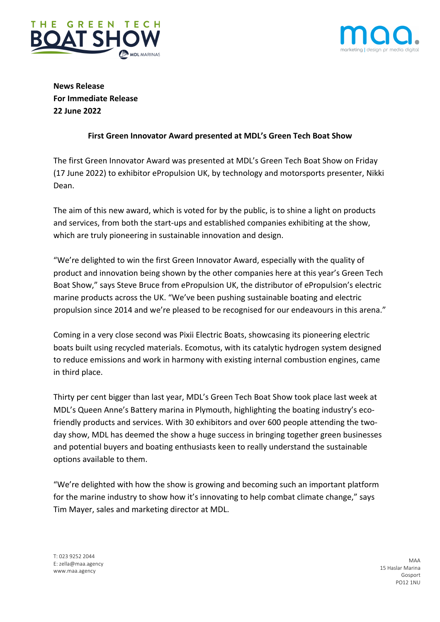



**News Release For Immediate Release 22 June 2022**

# **First Green Innovator Award presented at MDL's Green Tech Boat Show**

The first Green Innovator Award was presented at MDL's Green Tech Boat Show on Friday (17 June 2022) to exhibitor ePropulsion UK, by technology and motorsports presenter, Nikki Dean.

The aim of this new award, which is voted for by the public, is to shine a light on products and services, from both the start-ups and established companies exhibiting at the show, which are truly pioneering in sustainable innovation and design.

"We're delighted to win the first Green Innovator Award, especially with the quality of product and innovation being shown by the other companies here at this year's Green Tech Boat Show," says Steve Bruce from ePropulsion UK, the distributor of ePropulsion's electric marine products across the UK. "We've been pushing sustainable boating and electric propulsion since 2014 and we're pleased to be recognised for our endeavours in this arena."

Coming in a very close second was Pixii Electric Boats, showcasing its pioneering electric boats built using recycled materials. Ecomotus, with its catalytic hydrogen system designed to reduce emissions and work in harmony with existing internal combustion engines, came in third place.

Thirty per cent bigger than last year, MDL's Green Tech Boat Show took place last week at MDL's Queen Anne's Battery marina in Plymouth, highlighting the boating industry's ecofriendly products and services. With 30 exhibitors and over 600 people attending the twoday show, MDL has deemed the show a huge success in bringing together green businesses and potential buyers and boating enthusiasts keen to really understand the sustainable options available to them.

"We're delighted with how the show is growing and becoming such an important platform for the marine industry to show how it's innovating to help combat climate change," says Tim Mayer, sales and marketing director at MDL.

T: 023 9252 2044 E: zella@maa.agency www.maa.agency

MAA 15 Haslar Marina Gosport PO12 1NU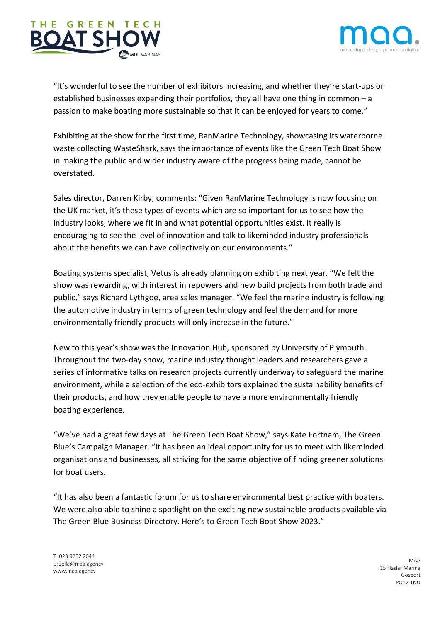



"It's wonderful to see the number of exhibitors increasing, and whether they're start-ups or established businesses expanding their portfolios, they all have one thing in common – a passion to make boating more sustainable so that it can be enjoyed for years to come."

Exhibiting at the show for the first time, RanMarine Technology, showcasing its waterborne waste collecting WasteShark, says the importance of events like the Green Tech Boat Show in making the public and wider industry aware of the progress being made, cannot be overstated.

Sales director, Darren Kirby, comments: "Given RanMarine Technology is now focusing on the UK market, it's these types of events which are so important for us to see how the industry looks, where we fit in and what potential opportunities exist. It really is encouraging to see the level of innovation and talk to likeminded industry professionals about the benefits we can have collectively on our environments."

Boating systems specialist, Vetus is already planning on exhibiting next year. "We felt the show was rewarding, with interest in repowers and new build projects from both trade and public," says Richard Lythgoe, area sales manager. "We feel the marine industry is following the automotive industry in terms of green technology and feel the demand for more environmentally friendly products will only increase in the future."

New to this year's show was the Innovation Hub, sponsored by University of Plymouth. Throughout the two-day show, marine industry thought leaders and researchers gave a series of informative talks on research projects currently underway to safeguard the marine environment, while a selection of the eco-exhibitors explained the sustainability benefits of their products, and how they enable people to have a more environmentally friendly boating experience.

"We've had a great few days at The Green Tech Boat Show," says Kate Fortnam, The Green Blue's Campaign Manager. "It has been an ideal opportunity for us to meet with likeminded organisations and businesses, all striving for the same objective of finding greener solutions for boat users.

"It has also been a fantastic forum for us to share environmental best practice with boaters. We were also able to shine a spotlight on the exciting new sustainable products available via The Green Blue Business Directory. Here's to Green Tech Boat Show 2023."

T: 023 9252 2044 E: zella@maa.agency www.maa.agency

MAA 15 Haslar Marina Gosport PO12 1NU